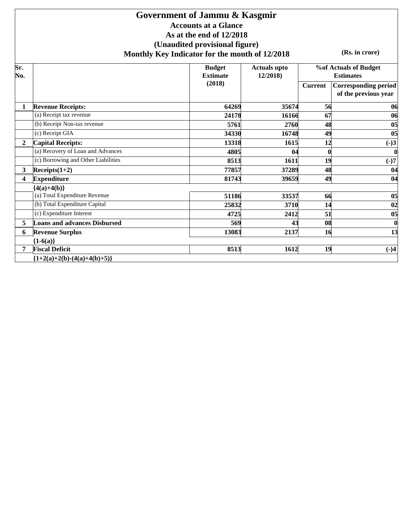### **Government of Jammu & Kasgmir Accounts at a Glance As at the end of 12/2018 (Unaudited provisional figure) Monthly Key Indicator for the month of 12/2018**

**(Rs. in crore)**

| $\overline{\text{Sr.}}$<br>No. |                                     | <b>Budget</b><br><b>Extimate</b> | <b>Actuals upto</b><br>12/2018) |                | <b>%of Actuals of Budget</b><br><b>Estimates</b>    |
|--------------------------------|-------------------------------------|----------------------------------|---------------------------------|----------------|-----------------------------------------------------|
|                                |                                     | (2018)                           |                                 | <b>Current</b> | <b>Corresponding period</b><br>of the previous year |
|                                | <b>Revenue Receipts:</b>            | 64269                            | 35674                           | 56             | 06                                                  |
|                                | (a) Receipt tax revenue             | 24178                            | 16166                           | 67             | 06                                                  |
|                                | (b) Receipt Non-tax revenue         | 5761                             | 2760                            | 48             | 05                                                  |
|                                | (c) Receipt GIA                     | 34330                            | 16748                           | 49             | 05                                                  |
| $\overline{2}$                 | <b>Capital Receipts:</b>            | 13318                            | 1615                            | 12             | $(-)3$                                              |
|                                | (a) Recovery of Loan and Advances   | 4805                             | 04                              |                | $\boldsymbol{0}$                                    |
|                                | (c) Borrowing and Other Liabilities | 8513                             | 1611                            | 19             | $(-)7$                                              |
| $\mathbf{3}$                   | $Receipts(1+2)$                     | 77857                            | 37289                           | 48             | 04                                                  |
| 4                              | <b>Expenditure</b>                  | 81743                            | 39659                           | 49             | 04                                                  |
|                                | ${4(a)+4(b)}$                       |                                  |                                 |                |                                                     |
|                                | (a) Total Expenditure Revenue       | 51186                            | 33537                           | 66             | 0 <sub>5</sub>                                      |
|                                | (b) Total Expenditure Capital       | 25832                            | 3710                            | 14             | 02                                                  |
|                                | (c) Expenditure Interest            | 4725                             | 2412                            | 51             | 05                                                  |
| 5                              | <b>Loans and advances Disbursed</b> | 569                              | 43                              | 08             | $\boldsymbol{0}$                                    |
| 6                              | <b>Revenue Surplus</b>              | 13083                            | 2137                            | 16             | 13                                                  |
|                                | ${1-6(a)}$                          |                                  |                                 |                |                                                     |
| 7                              | <b>Fiscal Deficit</b>               | 8513                             | 1612                            | 19             | $(-)4$                                              |
|                                | ${1+2(a)+2(b)-(4(a)+4(b)+5)}$       |                                  |                                 |                |                                                     |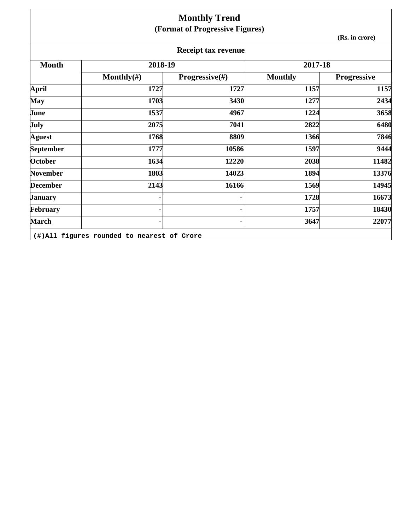|                 |                | <b>Monthly Trend</b><br>(Format of Progressive Figures) |                |                    |
|-----------------|----------------|---------------------------------------------------------|----------------|--------------------|
|                 |                |                                                         |                | (Rs. in crore)     |
|                 |                | <b>Receipt tax revenue</b>                              |                |                    |
| <b>Month</b>    | 2018-19        |                                                         | 2017-18        |                    |
|                 | Monthly $(\#)$ | Progressive(#)                                          | <b>Monthly</b> | <b>Progressive</b> |
| <b>April</b>    | 1727           | 1727                                                    | 1157           | 1157               |
| May             | 1703           | 3430                                                    | 1277           | 2434               |
| June            | 1537           | 4967                                                    | 1224           | 3658               |
| July            | 2075           | 7041                                                    | 2822           | 6480               |
| <b>Aguest</b>   | 1768           | 8809                                                    | 1366           | 7846               |
| September       | 1777           | 10586                                                   | 1597           | 9444               |
| <b>October</b>  | 1634           | 12220                                                   | 2038           | 11482              |
| <b>November</b> | 1803           | 14023                                                   | 1894           | 13376              |
| <b>December</b> | 2143           | 16166                                                   | 1569           | 14945              |
| <b>January</b>  |                |                                                         | 1728           | 16673              |
| February        |                |                                                         | 1757           | 18430              |
| <b>March</b>    |                |                                                         | 3647           | 22077              |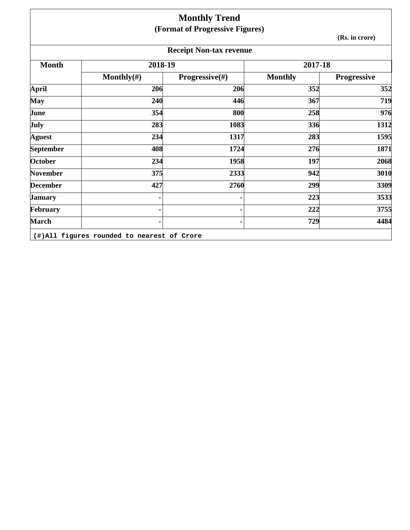|                 |                                            | <b>Monthly Trend</b>            |                |                    |
|-----------------|--------------------------------------------|---------------------------------|----------------|--------------------|
|                 |                                            | (Format of Progressive Figures) |                | (Rs. in crore)     |
|                 |                                            | <b>Receipt Non-tax revenue</b>  |                |                    |
| <b>Month</b>    | 2018-19                                    |                                 | 2017-18        |                    |
|                 | Monthly $(\#)$                             | Progressive(#)                  | <b>Monthly</b> | <b>Progressive</b> |
| April           | 206                                        | 206                             | 352            | 352                |
| <b>May</b>      | 240                                        | 446                             | 367            | 719                |
| June            | 354                                        | 800                             | 258            | 976                |
| July            | 283                                        | 1083                            | 336            | 1312               |
| <b>Aguest</b>   | 234                                        | 1317                            | 283            | 1595               |
| September       | 408                                        | 1724                            | 276            | 1871               |
| <b>October</b>  | 234                                        | 1958                            | 197            | 2068               |
| <b>November</b> | 375                                        | 2333                            | 942            | 3010               |
| <b>December</b> | 427                                        | 2760                            | 299            | 3309               |
| <b>January</b>  |                                            |                                 | 223            | 3533               |
| February        |                                            |                                 | 222            | 3755               |
| <b>March</b>    |                                            |                                 | 729            | 4484               |
|                 | (#)All figures rounded to nearest of Crore |                                 |                |                    |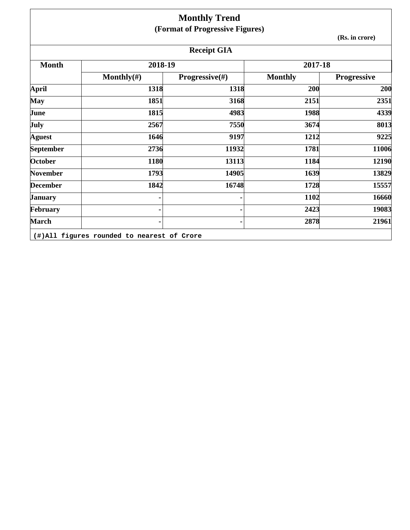|                  |                | <b>Monthly Trend</b>            |                |                    |
|------------------|----------------|---------------------------------|----------------|--------------------|
|                  |                | (Format of Progressive Figures) |                |                    |
|                  |                |                                 |                | (Rs. in crore)     |
|                  |                | <b>Receipt GIA</b>              |                |                    |
| <b>Month</b>     | 2018-19        |                                 | 2017-18        |                    |
|                  | Monthly $(\#)$ | <b>Progressive</b> $(\#)$       | <b>Monthly</b> | <b>Progressive</b> |
| <b>April</b>     | 1318           | 1318                            | 200            | 200                |
| <b>May</b>       | 1851           | 3168                            | 2151           | 2351               |
| June             | 1815           | 4983                            | 1988           | 4339               |
| July             | 2567           | 7550                            | 3674           | 8013               |
| <b>Aguest</b>    | 1646           | 9197                            | 1212           | 9225               |
| <b>September</b> | 2736           | 11932                           | 1781           | 11006              |
| October          | 1180           | 13113                           | 1184           | 12190              |
| November         | 1793           | 14905                           | 1639           | 13829              |
| <b>December</b>  | 1842           | 16748                           | 1728           | 15557              |
| <b>January</b>   |                |                                 | 1102           | 16660              |
| February         |                |                                 | 2423           | 19083              |
| <b>March</b>     |                |                                 | 2878           | 21961              |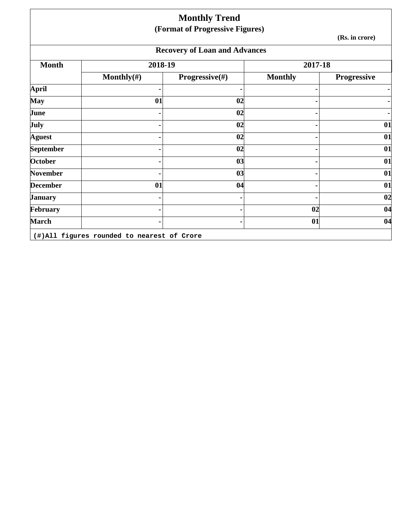|                  |                                            | <b>Monthly Trend</b><br>(Format of Progressive Figures) |                |                    |
|------------------|--------------------------------------------|---------------------------------------------------------|----------------|--------------------|
|                  |                                            |                                                         |                | (Rs. in crore)     |
|                  |                                            | <b>Recovery of Loan and Advances</b>                    |                |                    |
| <b>Month</b>     | 2018-19                                    |                                                         | 2017-18        |                    |
|                  | Monthly $(\#)$                             | <b>Progressive</b> $(\#)$                               | <b>Monthly</b> | <b>Progressive</b> |
| <b>April</b>     |                                            |                                                         |                |                    |
| May              | 01                                         | 02                                                      |                |                    |
| June             |                                            | 02                                                      |                |                    |
| July             |                                            | 02                                                      |                | 01                 |
| <b>Aguest</b>    |                                            | 02                                                      |                | 01                 |
| <b>September</b> |                                            | 02                                                      |                | 01                 |
| October          |                                            | 03                                                      |                | 01                 |
| <b>November</b>  |                                            | 03                                                      |                | 01                 |
| <b>December</b>  | 01                                         | 04                                                      |                | 01                 |
| <b>January</b>   |                                            |                                                         |                | 02                 |
| February         |                                            |                                                         | 02             | 04                 |
| <b>March</b>     |                                            |                                                         | 01             | 04                 |
|                  | (#)All figures rounded to nearest of Crore |                                                         |                |                    |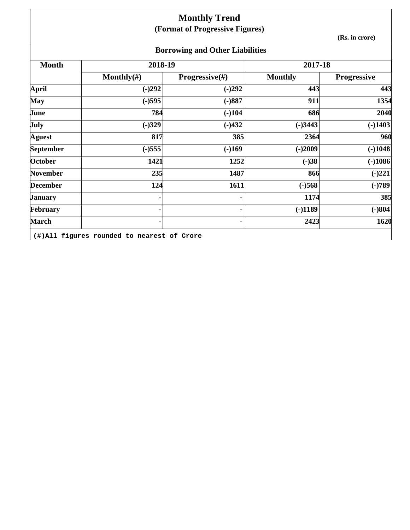## **Monthly Trend (Format of Progressive Figures)**

**(Rs. in crore)**

# **Borrowing and Other Liabilities**

|                |                           |                | 2017-18            |
|----------------|---------------------------|----------------|--------------------|
| Monthly $(\#)$ | <b>Progressive</b> $(\#)$ | <b>Monthly</b> | <b>Progressive</b> |
| $(-)292$       | $(-)292$                  | 443            | 443                |
| $(-)595$       | $(-)887$                  | 911            | 1354               |
| 784            | $(-)104$                  | 686            | 2040               |
| $(-)329$       | $(-)432$                  | $(-)3443$      | $(-)1403$          |
| 817            | 385                       | 2364           | 960                |
| $(-)555$       | $(-)169$                  | $(-)2009$      | $(-)1048$          |
| 1421           | 1252                      | $(-)38$        | $(-)1086$          |
| 235            | 1487                      | 866            | $(-)221$           |
| 124            | 1611                      | $(-)568$       | $(-)789$           |
| ٠              |                           | 1174           | 385                |
| ۰              |                           | $(-)1189$      | $(-)804$           |
| ۰              |                           | 2423           | 1620               |
|                |                           |                |                    |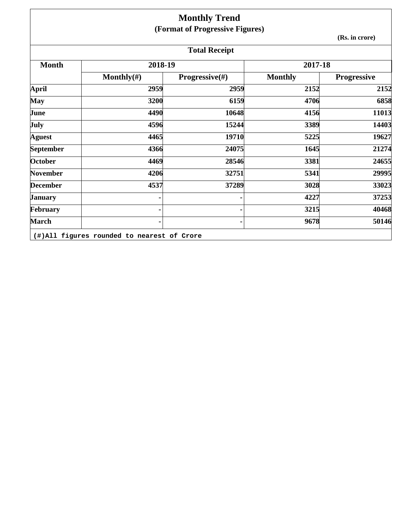|                  |                | <b>Monthly Trend</b><br>(Format of Progressive Figures) |                |                    |
|------------------|----------------|---------------------------------------------------------|----------------|--------------------|
|                  |                |                                                         |                | (Rs. in crore)     |
|                  |                | <b>Total Receipt</b>                                    |                |                    |
| <b>Month</b>     | 2018-19        |                                                         | 2017-18        |                    |
|                  | Monthly $(\#)$ | <b>Progressive</b> $(\#)$                               | <b>Monthly</b> | <b>Progressive</b> |
| <b>April</b>     | 2959           | 2959                                                    | 2152           | 2152               |
| <b>May</b>       | 3200           | 6159                                                    | 4706           | 6858               |
| June             | 4490           | 10648                                                   | 4156           | 11013              |
| July             | 4596           | 15244                                                   | 3389           | 14403              |
| <b>Aguest</b>    | 4465           | 19710                                                   | 5225           | 19627              |
| <b>September</b> | 4366           | 24075                                                   | 1645           | 21274              |
| October          | 4469           | 28546                                                   | 3381           | 24655              |
| <b>November</b>  | 4206           | 32751                                                   | 5341           | 29995              |
| <b>December</b>  | 4537           | 37289                                                   | 3028           | 33023              |
| <b>January</b>   |                |                                                         | 4227           | 37253              |
| February         |                |                                                         | 3215           | 40468              |
| <b>March</b>     |                |                                                         | 9678           | 50146              |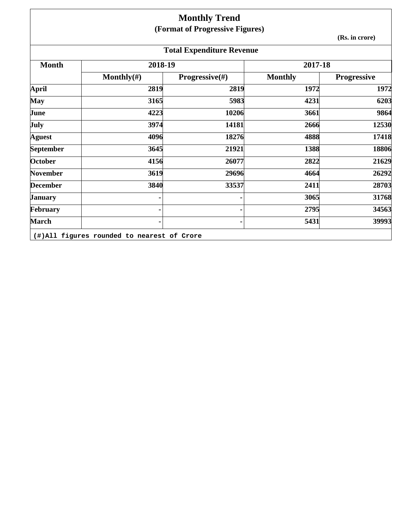## **Monthly Trend (Format of Progressive Figures)**

**(Rs. in crore)**

|                 |                | <b>Total Expenditure Revenue</b> |                |                    |
|-----------------|----------------|----------------------------------|----------------|--------------------|
| <b>Month</b>    | 2018-19        |                                  | 2017-18        |                    |
|                 | Monthly $(\#)$ | <b>Progressive</b> $(\#)$        | <b>Monthly</b> | <b>Progressive</b> |
| <b>April</b>    | 2819           | 2819                             | 1972           | 1972               |
| <b>May</b>      | 3165           | 5983                             | 4231           | 6203               |
| June            | 4223           | 10206                            | 3661           | 9864               |
| <b>July</b>     | 3974           | 14181                            | 2666           | 12530              |
| <b>Aguest</b>   | 4096           | 18276                            | 4888           | 17418              |
| September       | 3645           | 21921                            | 1388           | 18806              |
| October         | 4156           | 26077                            | 2822           | 21629              |
| <b>November</b> | 3619           | 29696                            | 4664           | 26292              |
| <b>December</b> | 3840           | 33537                            | 2411           | 28703              |
| <b>January</b>  |                |                                  | 3065           | 31768              |
| February        |                |                                  | 2795           | 34563              |
| <b>March</b>    |                |                                  | 5431           | 39993              |

**(#)All figures rounded to nearest of Crore**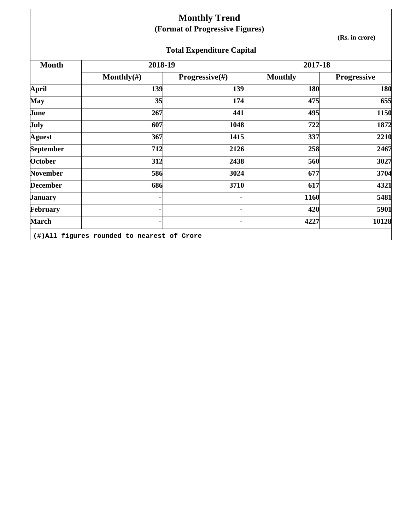|                 |                | <b>Monthly Trend</b>             |                |                    |
|-----------------|----------------|----------------------------------|----------------|--------------------|
|                 |                | (Format of Progressive Figures)  |                | (Rs. in crore)     |
|                 |                | <b>Total Expenditure Capital</b> |                |                    |
| <b>Month</b>    | 2018-19        |                                  | 2017-18        |                    |
|                 | Monthly $(\#)$ | <b>Progressive</b> $(\#)$        | <b>Monthly</b> | <b>Progressive</b> |
| <b>April</b>    | 139            | 139                              | 180            | 180                |
| <b>May</b>      | 35             | 174                              | 475            | 655                |
| June            | 267            | 441                              | 495            | 1150               |
| July            | 607            | 1048                             | 722            | 1872               |
| <b>Aguest</b>   | 367            | 1415                             | 337            | 2210               |
| September       | 712            | 2126                             | 258            | 2467               |
| October         | 312            | 2438                             | 560            | 3027               |
| <b>November</b> | 586            | 3024                             | 677            | 3704               |
| <b>December</b> | 686            | 3710                             | 617            | 4321               |
| <b>January</b>  |                |                                  | 1160           | 5481               |
| February        | ۰              |                                  | 420            | 5901               |
| <b>March</b>    | ۰              |                                  | 4227           | 10128              |

**(#)All figures rounded to nearest of Crore**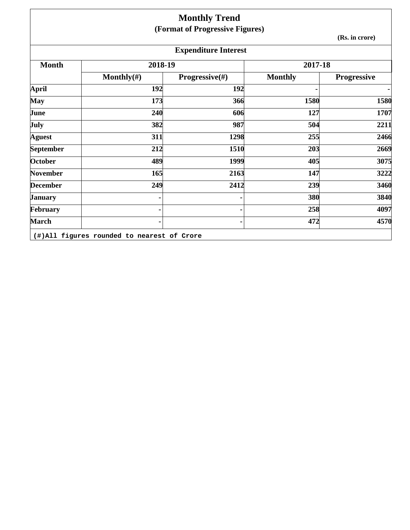|                 |                                            | <b>Monthly Trend</b><br>(Format of Progressive Figures) |                |                    |
|-----------------|--------------------------------------------|---------------------------------------------------------|----------------|--------------------|
|                 |                                            |                                                         |                | (Rs. in crore)     |
|                 |                                            | <b>Expenditure Interest</b>                             |                |                    |
| <b>Month</b>    | 2018-19                                    |                                                         | 2017-18        |                    |
|                 | Monthly $(\#)$                             | Progressive(#)                                          | <b>Monthly</b> | <b>Progressive</b> |
| <b>April</b>    | 192                                        | 192                                                     |                | $\blacksquare$     |
| <b>May</b>      | 173                                        | 366                                                     | 1580           | 1580               |
| June            | 240                                        | 606                                                     | 127            | 1707               |
| July            | 382                                        | 987                                                     | 504            | 2211               |
| <b>Aguest</b>   | 311                                        | 1298                                                    | 255            | 2466               |
| September       | 212                                        | 1510                                                    | 203            | 2669               |
| <b>October</b>  | 489                                        | 1999                                                    | 405            | 3075               |
| <b>November</b> | 165                                        | 2163                                                    | 147            | 3222               |
| <b>December</b> | 249                                        | 2412                                                    | 239            | 3460               |
| <b>January</b>  |                                            |                                                         | 380            | 3840               |
| February        |                                            |                                                         | 258            | 4097               |
| <b>March</b>    |                                            |                                                         | 472            | 4570               |
|                 | (#)All figures rounded to nearest of Crore |                                                         |                |                    |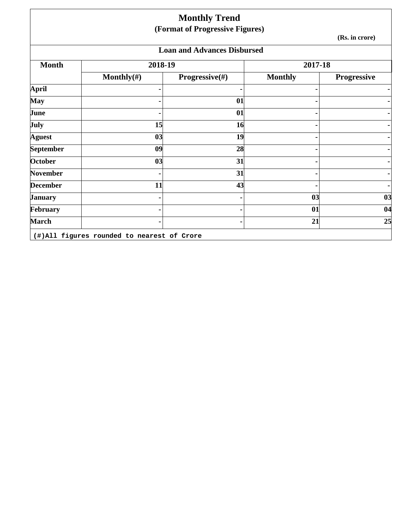|                 |                                            | <b>Monthly Trend</b><br>(Format of Progressive Figures) |                |                    |
|-----------------|--------------------------------------------|---------------------------------------------------------|----------------|--------------------|
|                 |                                            |                                                         |                | (Rs. in crore)     |
|                 |                                            | <b>Loan and Advances Disbursed</b>                      |                |                    |
| <b>Month</b>    | 2018-19                                    |                                                         | 2017-18        |                    |
|                 | Monthly $(\#)$                             | Progressive(#)                                          | <b>Monthly</b> | <b>Progressive</b> |
| April           |                                            |                                                         |                | - 1                |
| <b>May</b>      |                                            | 01                                                      |                |                    |
| June            |                                            | 01                                                      |                |                    |
| July            | 15                                         | 16                                                      |                | ٠                  |
| <b>Aguest</b>   | 03                                         | 19                                                      |                |                    |
| September       | 09                                         | 28                                                      |                |                    |
| October         | 03                                         | 31                                                      |                |                    |
| <b>November</b> |                                            | 31                                                      |                |                    |
| <b>December</b> | 11                                         | 43                                                      |                |                    |
| January         |                                            |                                                         | 0 <sub>3</sub> | 03                 |
| February        |                                            |                                                         | 01             | 04                 |
| <b>March</b>    |                                            |                                                         | 21             | 25                 |
|                 | (#)All figures rounded to nearest of Crore |                                                         |                |                    |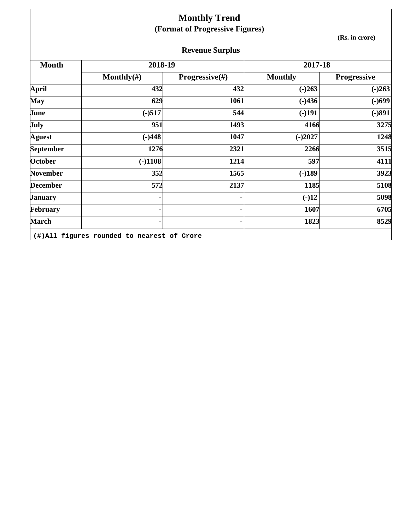|                  |                | <b>Monthly Trend</b><br>(Format of Progressive Figures) |                |                    |
|------------------|----------------|---------------------------------------------------------|----------------|--------------------|
|                  |                |                                                         |                | (Rs. in crore)     |
|                  |                | <b>Revenue Surplus</b>                                  |                |                    |
| <b>Month</b>     | 2018-19        |                                                         | 2017-18        |                    |
|                  | Monthly $(\#)$ | <b>Progressive</b> $(\#)$                               | <b>Monthly</b> | <b>Progressive</b> |
| <b>April</b>     | 432            | 432                                                     | $(-)263$       | $(-)263$           |
| <b>May</b>       | 629            | 1061                                                    | $(-)436$       | $(-)699$           |
| June             | $(-)517$       | 544                                                     | $(-)191$       | $(-)891$           |
| July             | 951            | 1493                                                    | 4166           | 3275               |
| <b>Aguest</b>    | $(-)448$       | 1047                                                    | $(-)2027$      | 1248               |
| <b>September</b> | 1276           | 2321                                                    | 2266           | 3515               |
| <b>October</b>   | $(-)1108$      | 1214                                                    | 597            | 4111               |
| <b>November</b>  | 352            | 1565                                                    | $(-)189$       | 3923               |
| <b>December</b>  | 572            | 2137                                                    | 1185           | 5108               |
| <b>January</b>   |                |                                                         | $(-)12$        | 5098               |
| February         |                |                                                         | 1607           | 6705               |
| <b>March</b>     |                |                                                         | 1823           | 8529               |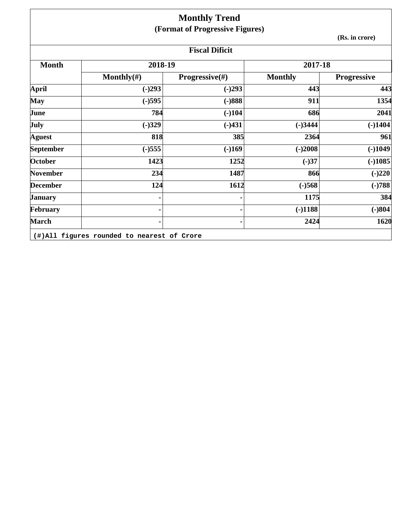|                       |                | <b>Monthly Trend</b><br>(Format of Progressive Figures) |                |             |  |  |  |  |  |
|-----------------------|----------------|---------------------------------------------------------|----------------|-------------|--|--|--|--|--|
|                       |                | (Rs. in crore)                                          |                |             |  |  |  |  |  |
| <b>Fiscal Dificit</b> |                |                                                         |                |             |  |  |  |  |  |
| <b>Month</b>          | 2018-19        |                                                         | 2017-18        |             |  |  |  |  |  |
|                       | Monthly $(\#)$ | Progressive(#)                                          | <b>Monthly</b> | Progressive |  |  |  |  |  |
| <b>April</b>          | $(-)293$       | $(-)293$                                                | 443            | 443         |  |  |  |  |  |
| <b>May</b>            | $(-)595$       | $(-)888$                                                | 911            | 1354        |  |  |  |  |  |
| June                  | 784            | $(-)104$                                                | 686            | 2041        |  |  |  |  |  |
| July                  | $(-)329$       | $(-)431$                                                | $(-)3444$      | $(-)1404$   |  |  |  |  |  |
| <b>Aguest</b>         | 818            | 385                                                     | 2364           | 961         |  |  |  |  |  |
| September             | $(-)555$       | $(-)169$                                                | $(-)2008$      | $(-)1049$   |  |  |  |  |  |
| <b>October</b>        | 1423           | 1252                                                    | $(-)37$        | $(-)1085$   |  |  |  |  |  |
| <b>November</b>       | 234            | 1487                                                    | 866            | $(-)220$    |  |  |  |  |  |
| <b>December</b>       | 124            | 1612                                                    | $(-)568$       | $(-)788$    |  |  |  |  |  |
| <b>January</b>        |                |                                                         | 1175           | 384         |  |  |  |  |  |
| February              |                |                                                         | $(-)1188$      | $(-)804$    |  |  |  |  |  |
| <b>March</b>          |                |                                                         | 2424           | 1620        |  |  |  |  |  |